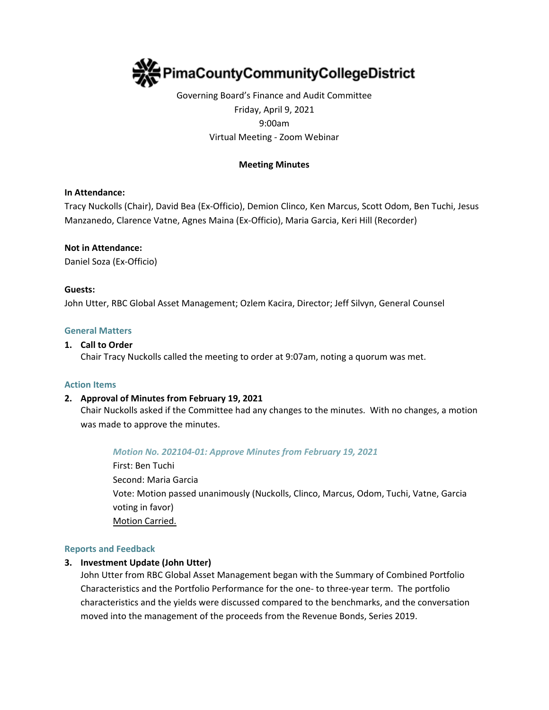

# Governing Board's Finance and Audit Committee Friday, April 9, 2021 9:00am Virtual Meeting - Zoom Webinar

# **Meeting Minutes**

## **In Attendance:**

Tracy Nuckolls (Chair), David Bea (Ex-Officio), Demion Clinco, Ken Marcus, Scott Odom, Ben Tuchi, Jesus Manzanedo, Clarence Vatne, Agnes Maina (Ex-Officio), Maria Garcia, Keri Hill (Recorder)

#### **Not in Attendance:**

Daniel Soza (Ex-Officio)

#### **Guests:**

John Utter, RBC Global Asset Management; Ozlem Kacira, Director; Jeff Silvyn, General Counsel

#### **General Matters**

#### **1. Call to Order**

Chair Tracy Nuckolls called the meeting to order at 9:07am, noting a quorum was met.

#### **Action Items**

## **2. Approval of Minutes from February 19, 2021**

Chair Nuckolls asked if the Committee had any changes to the minutes. With no changes, a motion was made to approve the minutes.

## *Motion No. 202104-01: Approve Minutes from February 19, 2021*

First: Ben Tuchi Second: Maria Garcia Vote: Motion passed unanimously (Nuckolls, Clinco, Marcus, Odom, Tuchi, Vatne, Garcia voting in favor) Motion Carried.

#### **Reports and Feedback**

## **3. Investment Update (John Utter)**

John Utter from RBC Global Asset Management began with the Summary of Combined Portfolio Characteristics and the Portfolio Performance for the one- to three-year term. The portfolio characteristics and the yields were discussed compared to the benchmarks, and the conversation moved into the management of the proceeds from the Revenue Bonds, Series 2019.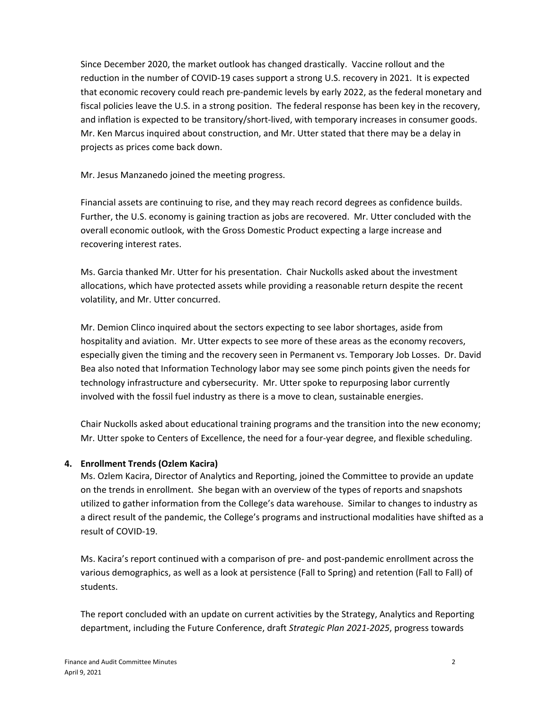Since December 2020, the market outlook has changed drastically. Vaccine rollout and the reduction in the number of COVID-19 cases support a strong U.S. recovery in 2021. It is expected that economic recovery could reach pre-pandemic levels by early 2022, as the federal monetary and fiscal policies leave the U.S. in a strong position. The federal response has been key in the recovery, and inflation is expected to be transitory/short-lived, with temporary increases in consumer goods. Mr. Ken Marcus inquired about construction, and Mr. Utter stated that there may be a delay in projects as prices come back down.

Mr. Jesus Manzanedo joined the meeting progress.

Financial assets are continuing to rise, and they may reach record degrees as confidence builds. Further, the U.S. economy is gaining traction as jobs are recovered. Mr. Utter concluded with the overall economic outlook, with the Gross Domestic Product expecting a large increase and recovering interest rates.

Ms. Garcia thanked Mr. Utter for his presentation. Chair Nuckolls asked about the investment allocations, which have protected assets while providing a reasonable return despite the recent volatility, and Mr. Utter concurred.

Mr. Demion Clinco inquired about the sectors expecting to see labor shortages, aside from hospitality and aviation. Mr. Utter expects to see more of these areas as the economy recovers, especially given the timing and the recovery seen in Permanent vs. Temporary Job Losses. Dr. David Bea also noted that Information Technology labor may see some pinch points given the needs for technology infrastructure and cybersecurity. Mr. Utter spoke to repurposing labor currently involved with the fossil fuel industry as there is a move to clean, sustainable energies.

Chair Nuckolls asked about educational training programs and the transition into the new economy; Mr. Utter spoke to Centers of Excellence, the need for a four-year degree, and flexible scheduling.

# **4. Enrollment Trends (Ozlem Kacira)**

Ms. Ozlem Kacira, Director of Analytics and Reporting, joined the Committee to provide an update on the trends in enrollment. She began with an overview of the types of reports and snapshots utilized to gather information from the College's data warehouse. Similar to changes to industry as a direct result of the pandemic, the College's programs and instructional modalities have shifted as a result of COVID-19.

Ms. Kacira's report continued with a comparison of pre- and post-pandemic enrollment across the various demographics, as well as a look at persistence (Fall to Spring) and retention (Fall to Fall) of students.

The report concluded with an update on current activities by the Strategy, Analytics and Reporting department, including the Future Conference, draft *Strategic Plan 2021-2025*, progress towards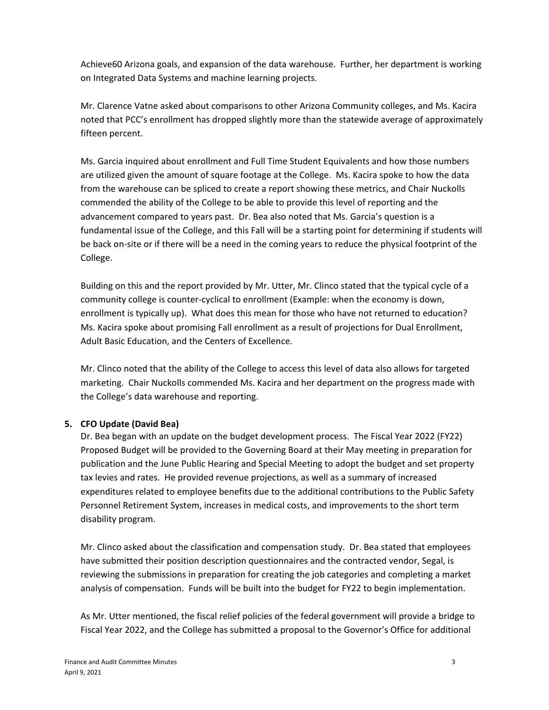Achieve60 Arizona goals, and expansion of the data warehouse. Further, her department is working on Integrated Data Systems and machine learning projects.

Mr. Clarence Vatne asked about comparisons to other Arizona Community colleges, and Ms. Kacira noted that PCC's enrollment has dropped slightly more than the statewide average of approximately fifteen percent.

Ms. Garcia inquired about enrollment and Full Time Student Equivalents and how those numbers are utilized given the amount of square footage at the College. Ms. Kacira spoke to how the data from the warehouse can be spliced to create a report showing these metrics, and Chair Nuckolls commended the ability of the College to be able to provide this level of reporting and the advancement compared to years past. Dr. Bea also noted that Ms. Garcia's question is a fundamental issue of the College, and this Fall will be a starting point for determining if students will be back on-site or if there will be a need in the coming years to reduce the physical footprint of the College.

Building on this and the report provided by Mr. Utter, Mr. Clinco stated that the typical cycle of a community college is counter-cyclical to enrollment (Example: when the economy is down, enrollment is typically up). What does this mean for those who have not returned to education? Ms. Kacira spoke about promising Fall enrollment as a result of projections for Dual Enrollment, Adult Basic Education, and the Centers of Excellence.

Mr. Clinco noted that the ability of the College to access this level of data also allows for targeted marketing. Chair Nuckolls commended Ms. Kacira and her department on the progress made with the College's data warehouse and reporting.

# **5. CFO Update (David Bea)**

Dr. Bea began with an update on the budget development process. The Fiscal Year 2022 (FY22) Proposed Budget will be provided to the Governing Board at their May meeting in preparation for publication and the June Public Hearing and Special Meeting to adopt the budget and set property tax levies and rates. He provided revenue projections, as well as a summary of increased expenditures related to employee benefits due to the additional contributions to the Public Safety Personnel Retirement System, increases in medical costs, and improvements to the short term disability program.

Mr. Clinco asked about the classification and compensation study. Dr. Bea stated that employees have submitted their position description questionnaires and the contracted vendor, Segal, is reviewing the submissions in preparation for creating the job categories and completing a market analysis of compensation. Funds will be built into the budget for FY22 to begin implementation.

As Mr. Utter mentioned, the fiscal relief policies of the federal government will provide a bridge to Fiscal Year 2022, and the College has submitted a proposal to the Governor's Office for additional